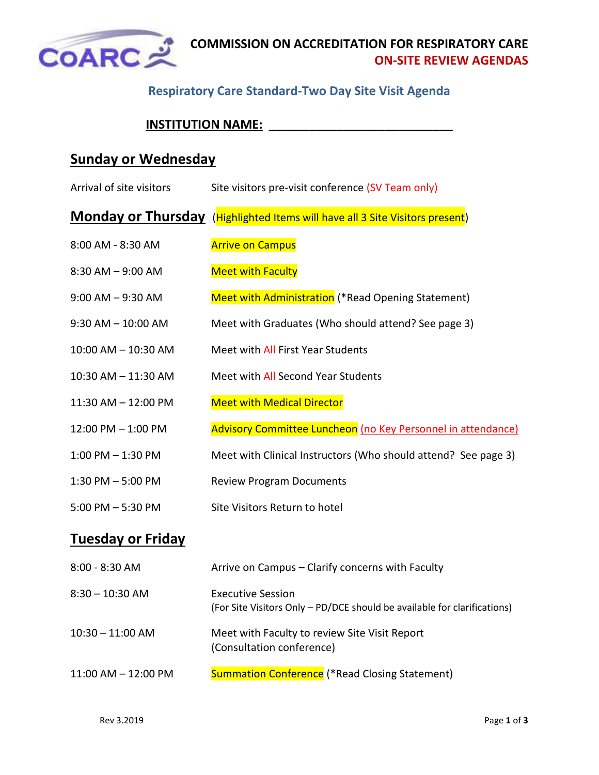

### **COMMISSION ON ACCREDITATION FOR RESPIRATORY CARE ON-SITE REVIEW AGENDAS**

### **Respiratory Care Standard-Two Day Site Visit Agenda**

# **INSTITUTION NAME: \_\_\_\_\_\_\_\_\_\_\_\_\_\_\_\_\_\_\_\_\_\_\_\_\_\_\_**

# **Sunday or Wednesday**

| Arrival of site visitors | Site visitors pre-visit conference (SV Team only)                            |
|--------------------------|------------------------------------------------------------------------------|
|                          | Monday or Thursday (Highlighted Items will have all 3 Site Visitors present) |
| 8:00 AM - 8:30 AM        | <b>Arrive on Campus</b>                                                      |
| $8:30$ AM $-9:00$ AM     | <b>Meet with Faculty</b>                                                     |
| $9:00$ AM $-9:30$ AM     | Meet with Administration (*Read Opening Statement)                           |
| $9:30$ AM $- 10:00$ AM   | Meet with Graduates (Who should attend? See page 3)                          |
| 10:00 AM - 10:30 AM      | Meet with All First Year Students                                            |
| $10:30$ AM $- 11:30$ AM  | Meet with All Second Year Students                                           |
| $11:30$ AM $- 12:00$ PM  | <b>Meet with Medical Director</b>                                            |
| $12:00$ PM $- 1:00$ PM   | Advisory Committee Luncheon (no Key Personnel in attendance)                 |
| $1:00$ PM $-1:30$ PM     | Meet with Clinical Instructors (Who should attend? See page 3)               |
| $1:30$ PM $-5:00$ PM     | <b>Review Program Documents</b>                                              |
| $5:00$ PM $-5:30$ PM     | Site Visitors Return to hotel                                                |

# **Tuesday or Friday**

| $8:00 - 8:30$ AM        | Arrive on Campus – Clarify concerns with Faculty                                                     |
|-------------------------|------------------------------------------------------------------------------------------------------|
| $8:30 - 10:30$ AM       | <b>Executive Session</b><br>(For Site Visitors Only – PD/DCE should be available for clarifications) |
| $10:30 - 11:00$ AM      | Meet with Faculty to review Site Visit Report<br>(Consultation conference)                           |
| $11:00$ AM $- 12:00$ PM | <b>Summation Conference</b> (*Read Closing Statement)                                                |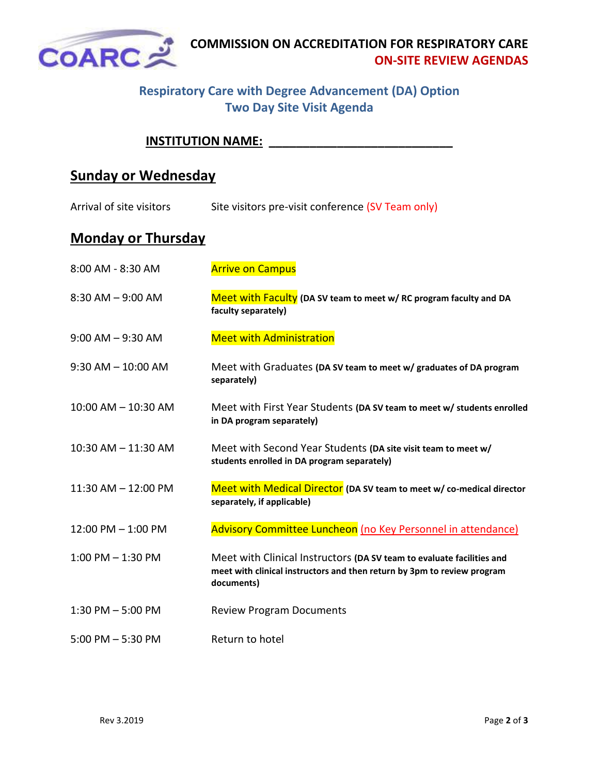

### **Respiratory Care with Degree Advancement (DA) Option Two Day Site Visit Agenda**

#### **INSTITUTION NAME: \_\_\_\_\_\_\_\_\_\_\_\_\_\_\_\_\_\_\_\_\_\_\_\_\_\_\_**

# **Sunday or Wednesday**

| Arrival of site visitors | Site visitors pre-visit conference (SV Team only) |  |
|--------------------------|---------------------------------------------------|--|
|                          |                                                   |  |

# **Monday or Thursday**

| 8:00 AM - 8:30 AM       | <b>Arrive on Campus</b>                                                                                                                                        |
|-------------------------|----------------------------------------------------------------------------------------------------------------------------------------------------------------|
| $8:30$ AM $-9:00$ AM    | Meet with Faculty (DA SV team to meet w/ RC program faculty and DA<br>faculty separately)                                                                      |
| $9:00$ AM $-9:30$ AM    | <b>Meet with Administration</b>                                                                                                                                |
| $9:30$ AM $- 10:00$ AM  | Meet with Graduates (DA SV team to meet w/ graduates of DA program<br>separately)                                                                              |
| $10:00$ AM $- 10:30$ AM | Meet with First Year Students (DA SV team to meet w/ students enrolled<br>in DA program separately)                                                            |
| 10:30 AM - 11:30 AM     | Meet with Second Year Students (DA site visit team to meet w/<br>students enrolled in DA program separately)                                                   |
| $11:30$ AM $- 12:00$ PM | Meet with Medical Director (DA SV team to meet w/ co-medical director<br>separately, if applicable)                                                            |
| 12:00 PM - 1:00 PM      | Advisory Committee Luncheon (no Key Personnel in attendance)                                                                                                   |
| $1:00$ PM $-1:30$ PM    | Meet with Clinical Instructors (DA SV team to evaluate facilities and<br>meet with clinical instructors and then return by 3pm to review program<br>documents) |
| $1:30$ PM $-5:00$ PM    | <b>Review Program Documents</b>                                                                                                                                |
| $5:00$ PM $-5:30$ PM    | Return to hotel                                                                                                                                                |